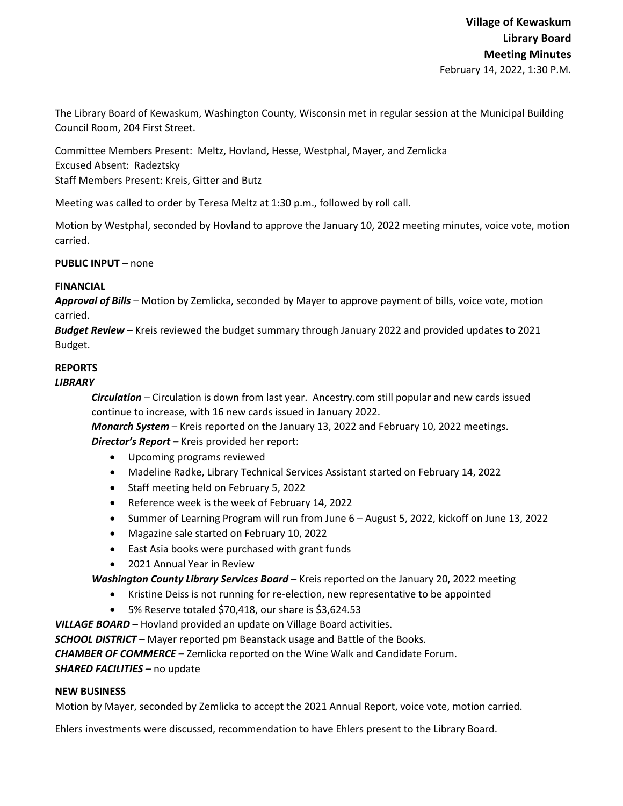The Library Board of Kewaskum, Washington County, Wisconsin met in regular session at the Municipal Building Council Room, 204 First Street.

Committee Members Present: Meltz, Hovland, Hesse, Westphal, Mayer, and Zemlicka Excused Absent: Radeztsky Staff Members Present: Kreis, Gitter and Butz

Meeting was called to order by Teresa Meltz at 1:30 p.m., followed by roll call.

Motion by Westphal, seconded by Hovland to approve the January 10, 2022 meeting minutes, voice vote, motion carried.

**PUBLIC INPUT** – none

#### **FINANCIAL**

*Approval of Bills –* Motion by Zemlicka, seconded by Mayer to approve payment of bills, voice vote, motion carried.

*Budget Review* – Kreis reviewed the budget summary through January 2022 and provided updates to 2021 Budget.

# **REPORTS**

## *LIBRARY*

*Circulation* – Circulation is down from last year. Ancestry.com still popular and new cards issued continue to increase, with 16 new cards issued in January 2022.

*Monarch System* – Kreis reported on the January 13, 2022 and February 10, 2022 meetings. *Director's Report* **–** Kreis provided her report:

- Upcoming programs reviewed
- Madeline Radke, Library Technical Services Assistant started on February 14, 2022
- Staff meeting held on February 5, 2022
- Reference week is the week of February 14, 2022
- Summer of Learning Program will run from June 6 August 5, 2022, kickoff on June 13, 2022
- Magazine sale started on February 10, 2022
- East Asia books were purchased with grant funds
- 2021 Annual Year in Review

*Washington County Library Services Board* – Kreis reported on the January 20, 2022 meeting

- Kristine Deiss is not running for re-election, new representative to be appointed
- 5% Reserve totaled \$70,418, our share is \$3,624.53

*VILLAGE BOARD* – Hovland provided an update on Village Board activities.

*SCHOOL DISTRICT* – Mayer reported pm Beanstack usage and Battle of the Books.

*CHAMBER OF COMMERCE –* Zemlicka reported on the Wine Walk and Candidate Forum.

## *SHARED FACILITIES –* no update

## **NEW BUSINESS**

Motion by Mayer, seconded by Zemlicka to accept the 2021 Annual Report, voice vote, motion carried.

Ehlers investments were discussed, recommendation to have Ehlers present to the Library Board.